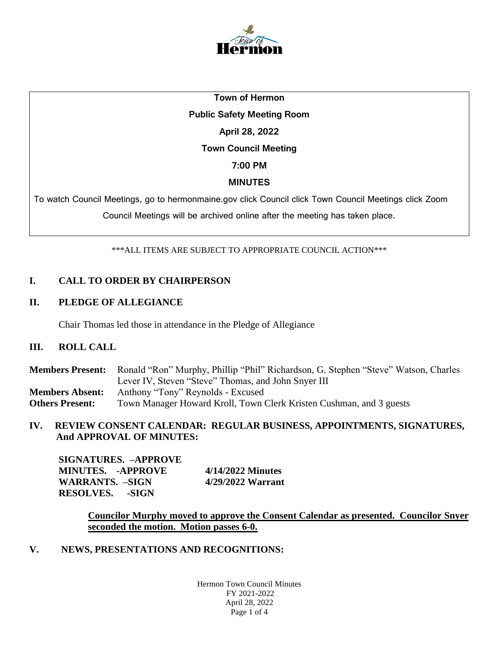

# **Town of Hermon Public Safety Meeting Room April 28, 2022 Town Council Meeting 7:00 PM MINUTES**

To watch Council Meetings, go to hermonmaine.gov click Council click Town Council Meetings click Zoom

Council Meetings will be archived online after the meeting has taken place.

\*\*\*ALL ITEMS ARE SUBJECT TO APPROPRIATE COUNCIL ACTION\*\*\*

# **I. CALL TO ORDER BY CHAIRPERSON**

## **II. PLEDGE OF ALLEGIANCE**

Chair Thomas led those in attendance in the Pledge of Allegiance

## **III. ROLL CALL**

**Members Present:** Ronald "Ron" Murphy, Phillip "Phil" Richardson, G. Stephen "Steve" Watson, Charles Lever IV, Steven "Steve" Thomas, and John Snyer III **Members Absent:** Anthony "Tony" Reynolds - Excused **Others Present:** Town Manager Howard Kroll, Town Clerk Kristen Cushman, and 3 guests

**IV. REVIEW CONSENT CALENDAR: REGULAR BUSINESS, APPOINTMENTS, SIGNATURES, And APPROVAL OF MINUTES:**

| SIGNATURES. –APPROVE   |                   |
|------------------------|-------------------|
| MINUTES. -APPROVE      | 4/14/2022 Minutes |
| WARRANTS. –SIGN        | 4/29/2022 Warrant |
| <b>RESOLVES.</b> -SIGN |                   |

**Councilor Murphy moved to approve the Consent Calendar as presented. Councilor Snyer seconded the motion. Motion passes 6-0.**

**V. NEWS, PRESENTATIONS AND RECOGNITIONS:**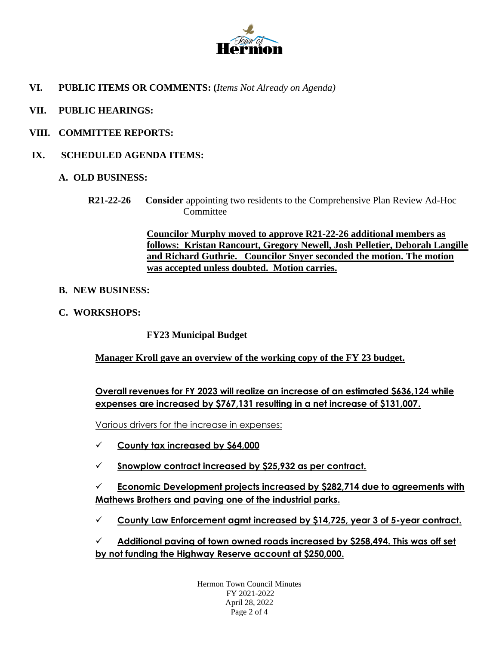

- **VI. PUBLIC ITEMS OR COMMENTS: (***Items Not Already on Agenda)*
- **VII. PUBLIC HEARINGS:**
- **VIII. COMMITTEE REPORTS:**
- **IX. SCHEDULED AGENDA ITEMS:**
	- **A. OLD BUSINESS:**
		- **R21-22-26 Consider** appointing two residents to the Comprehensive Plan Review Ad-Hoc **Committee**

**Councilor Murphy moved to approve R21-22-26 additional members as follows: Kristan Rancourt, Gregory Newell, Josh Pelletier, Deborah Langille and Richard Guthrie. Councilor Snyer seconded the motion. The motion was accepted unless doubted. Motion carries.**

- **B. NEW BUSINESS:**
- **C. WORKSHOPS:**

**FY23 Municipal Budget**

**Manager Kroll gave an overview of the working copy of the FY 23 budget.**

**Overall revenues for FY 2023 will realize an increase of an estimated \$636,124 while expenses are increased by \$767,131 resulting in a net increase of \$131,007.**

Various drivers for the increase in expenses:

- ✓ **County tax increased by \$64,000**
- ✓ **Snowplow contract increased by \$25,932 as per contract.**

✓ **Economic Development projects increased by \$282,714 due to agreements with Mathews Brothers and paving one of the industrial parks.**

✓ **County Law Enforcement agmt increased by \$14,725, year 3 of 5-year contract.** 

✓ **Additional paving of town owned roads increased by \$258,494. This was off set by not funding the Highway Reserve account at \$250,000.** 

> Hermon Town Council Minutes FY 2021-2022 April 28, 2022 Page 2 of 4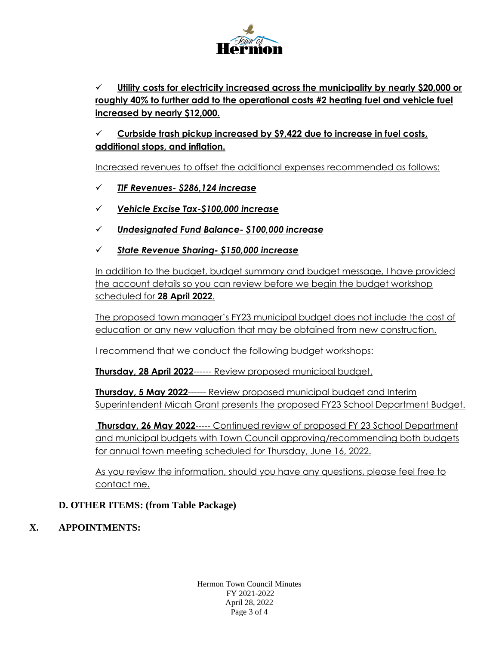

✓ **Utility costs for electricity increased across the municipality by nearly \$20,000 or roughly 40% to further add to the operational costs #2 heating fuel and vehicle fuel increased by nearly \$12,000.**

✓ **Curbside trash pickup increased by \$9,422 due to increase in fuel costs, additional stops, and inflation.** 

Increased revenues to offset the additional expenses recommended as follows:

- ✓ *TIF Revenues- \$286,124 increase*
- ✓ *Vehicle Excise Tax-\$100,000 increase*
- ✓ *Undesignated Fund Balance- \$100,000 increase*
- ✓ *State Revenue Sharing- \$150,000 increase*

In addition to the budget, budget summary and budget message, I have provided the account details so you can review before we begin the budget workshop scheduled for **28 April 2022**.

The proposed town manager's FY23 municipal budget does not include the cost of education or any new valuation that may be obtained from new construction.

I recommend that we conduct the following budget workshops:

**Thursday, 28 April 2022**------ Review proposed municipal budget.

**Thursday, 5 May 2022**------ Review proposed municipal budget and Interim Superintendent Micah Grant presents the proposed FY23 School Department Budget.

**Thursday, 26 May 2022**----- Continued review of proposed FY 23 School Department and municipal budgets with Town Council approving/recommending both budgets for annual town meeting scheduled for Thursday, June 16, 2022.

As you review the information, should you have any questions, please feel free to contact me.

## **D. OTHER ITEMS: (from Table Package)**

# **X. APPOINTMENTS:**

Hermon Town Council Minutes FY 2021-2022 April 28, 2022 Page 3 of 4